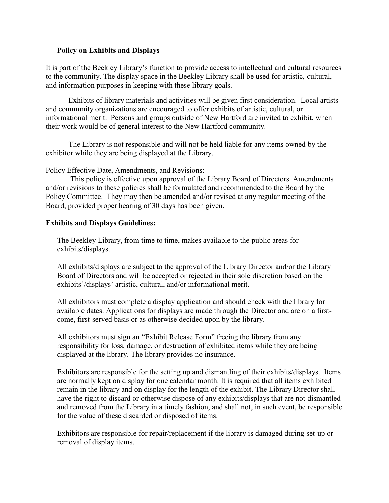## Policy on Exhibits and Displays

It is part of the Beekley Library's function to provide access to intellectual and cultural resources to the community. The display space in the Beekley Library shall be used for artistic, cultural, and information purposes in keeping with these library goals.

 Exhibits of library materials and activities will be given first consideration. Local artists and community organizations are encouraged to offer exhibits of artistic, cultural, or informational merit. Persons and groups outside of New Hartford are invited to exhibit, when their work would be of general interest to the New Hartford community.

 The Library is not responsible and will not be held liable for any items owned by the exhibitor while they are being displayed at the Library.

Policy Effective Date, Amendments, and Revisions:

 This policy is effective upon approval of the Library Board of Directors. Amendments and/or revisions to these policies shall be formulated and recommended to the Board by the Policy Committee. They may then be amended and/or revised at any regular meeting of the Board, provided proper hearing of 30 days has been given.

## Exhibits and Displays Guidelines:

The Beekley Library, from time to time, makes available to the public areas for exhibits/displays.

All exhibits/displays are subject to the approval of the Library Director and/or the Library Board of Directors and will be accepted or rejected in their sole discretion based on the exhibits'/displays' artistic, cultural, and/or informational merit.

All exhibitors must complete a display application and should check with the library for available dates. Applications for displays are made through the Director and are on a firstcome, first-served basis or as otherwise decided upon by the library.

All exhibitors must sign an "Exhibit Release Form" freeing the library from any responsibility for loss, damage, or destruction of exhibited items while they are being displayed at the library. The library provides no insurance.

Exhibitors are responsible for the setting up and dismantling of their exhibits/displays. Items are normally kept on display for one calendar month. It is required that all items exhibited remain in the library and on display for the length of the exhibit. The Library Director shall have the right to discard or otherwise dispose of any exhibits/displays that are not dismantled and removed from the Library in a timely fashion, and shall not, in such event, be responsible for the value of these discarded or disposed of items.

Exhibitors are responsible for repair/replacement if the library is damaged during set-up or removal of display items.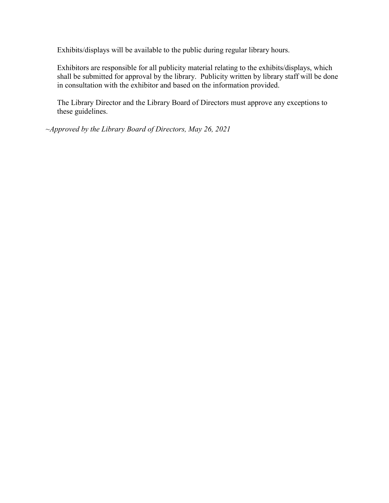Exhibits/displays will be available to the public during regular library hours.

Exhibitors are responsible for all publicity material relating to the exhibits/displays, which shall be submitted for approval by the library. Publicity written by library staff will be done in consultation with the exhibitor and based on the information provided.

The Library Director and the Library Board of Directors must approve any exceptions to these guidelines.

 $\sim$ Approved by the Library Board of Directors, May 26, 2021